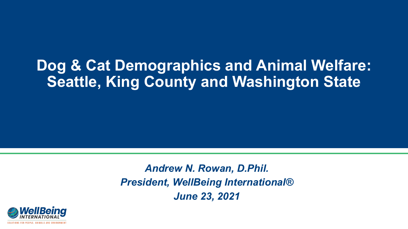## **Dog & Cat Demographics and Animal Welfare: Seattle, King County and Washington State**

*Andrew N. Rowan, D.Phil. President, WellBeing International® June 23, 2021*

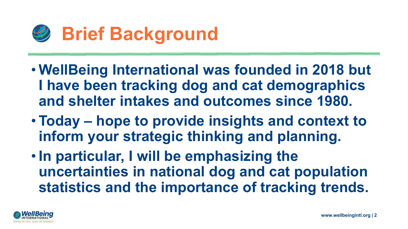

- **WellBeing International was founded in 2018 but I have been tracking dog and cat demographics and shelter intakes and outcomes since 1980.**
- **Today – hope to provide insights and context to inform your strategic thinking and planning.**
- **In particular, I will be emphasizing the uncertainties in national dog and cat population statistics and the importance of tracking trends.**

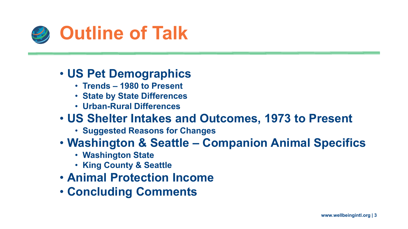

- **Trends – 1980 to Present**
- **State by State Differences**
- **Urban-Rural Differences**

- **Suggested Reasons for Changes**
- **Washington & Seattle – Companion Animal Specifics**
	- **Washington State**
	- **King County & Seattle**
- **Animal Protection Income**
- **Concluding Comments**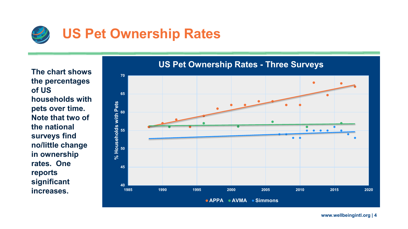

**The chart shows the percentages of US households with pets over time. Note that two of the national surveys find no/little change in ownership rates. One reports significant increases.** 



#### **US Pet Ownership Rates - Three Surveys**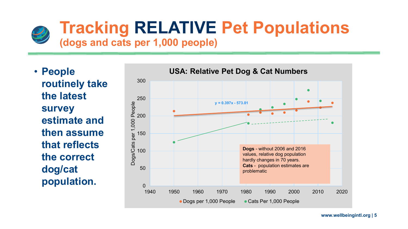

# **Tracking RELATIVE Pet Populations**

#### **(dogs and cats per 1,000 people)**

• **People routinely take the latest survey estimate and then assume that reflects the correct dog/cat population.** 

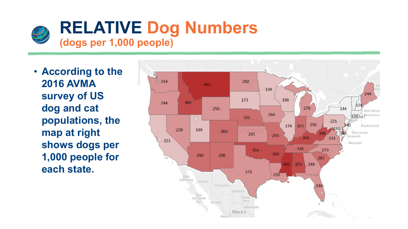

• **According to the 2016 AVMA survey of US dog and cat populations, the map at right shows dogs per 1,000 people for each state.**

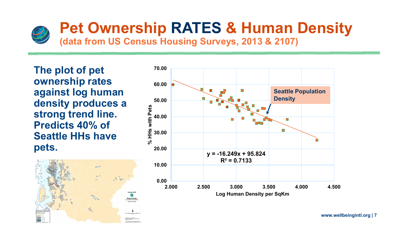

## **Pet Ownership RATES & Human Density**

**(data from US Census Housing Surveys, 2013 & 2107)**

**The plot of pet ownership rates against log human density produces a strong trend line. Predicts 40% of Seattle HHs have pets.**



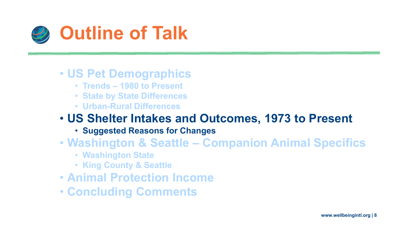

- **Trends – 1980 to Present**
- **State by State Differences**
- **Urban-Rural Differences**

- **Suggested Reasons for Changes**
- **Washington & Seattle – Companion Animal Specifics**
	- **Washington State**
	- **King County & Seattle**
- **Animal Protection Income**
- **Concluding Comments**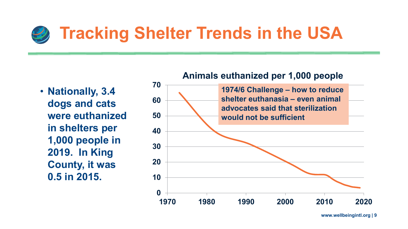## **Tracking Shelter Trends in the USA**

• **Nationally, 3.4 dogs and cats were euthanized in shelters per 1,000 people in 2019. In King County, it was 0.5 in 2015.** 

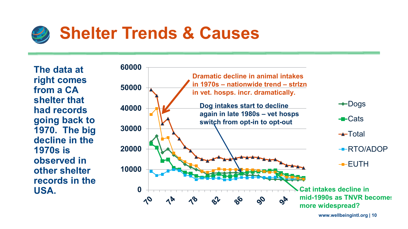

**The data at right comes from a CA shelter that had records going back to 1970. The big decline in the 1970s is observed in other shelter records in the USA.**

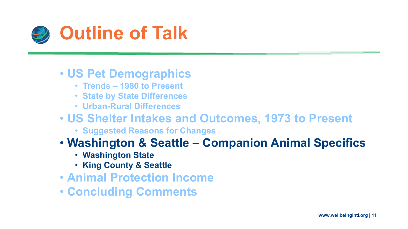

- **Trends – 1980 to Present**
- **State by State Differences**
- **Urban-Rural Differences**

#### • **US Shelter Intakes and Outcomes, 1973 to Present**

• **Suggested Reasons for Changes**

#### • **Washington & Seattle – Companion Animal Specifics**

- **Washington State**
- **King County & Seattle**
- **Animal Protection Income**
- **Concluding Comments**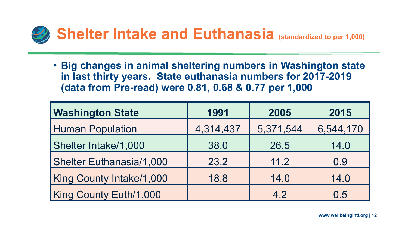

• **Big changes in animal sheltering numbers in Washington state in last thirty years. State euthanasia numbers for 2017-2019 (data from Pre-read) were 0.81, 0.68 & 0.77 per 1,000**

| <b>Washington State</b>         | 1991      | 2005      | 2015      |  |
|---------------------------------|-----------|-----------|-----------|--|
| <b>Human Population</b>         | 4,314,437 | 5,371,544 | 6,544,170 |  |
| <b>Shelter Intake/1,000</b>     | 38.0      | 26.5      | 14.0      |  |
| <b>Shelter Euthanasia/1,000</b> | 23.2      | 11.2      | 0.9       |  |
| King County Intake/1,000        | 18.8      | 14.0      | 14.0      |  |
| King County Euth/1,000          |           | 4.2       | 0.5       |  |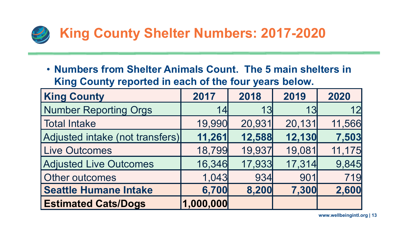

• **Numbers from Shelter Animals Count. The 5 main shelters in King County reported in each of the four years below.** 

| <b>King County</b>              | 2017      | 2018   | 2019   | 2020   |
|---------------------------------|-----------|--------|--------|--------|
| <b>Number Reporting Orgs</b>    | 14        | 13     | 13     | 12     |
| <b>Total Intake</b>             | 19,990    | 20,931 | 20,131 | 11,566 |
| Adjusted intake (not transfers) | 11,261    | 12,588 | 12,130 | 7,503  |
| <b>Live Outcomes</b>            | 18,799    | 19,937 | 19,081 | 11,175 |
| <b>Adjusted Live Outcomes</b>   | 16,346    | 17,933 | 17,314 | 9,845  |
| Other outcomes                  | 1,043     | 934    | 901    | 719    |
| <b>Seattle Humane Intake</b>    | 6,700     | 8,200  | 7,300  | 2,600  |
| <b>Estimated Cats/Dogs</b>      | 1,000,000 |        |        |        |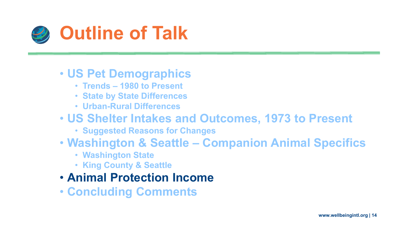

- **Trends – 1980 to Present**
- **State by State Differences**
- **Urban-Rural Differences**

- **Suggested Reasons for Changes**
- **Washington & Seattle – Companion Animal Specifics**
	- **Washington State**
	- **King County & Seattle**
- **Animal Protection Income**
- **Concluding Comments**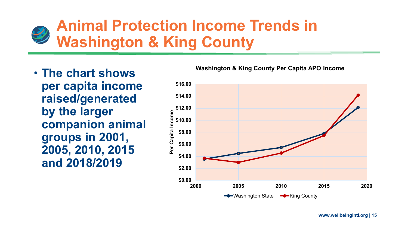## **Animal Protection Income Trends in Washington & King County**

• **The chart shows per capita income raised/generated by the larger companion animal groups in 2001, 2005, 2010, 2015 and 2018/2019**

#### **Washington & King County Per Capita APO Income**

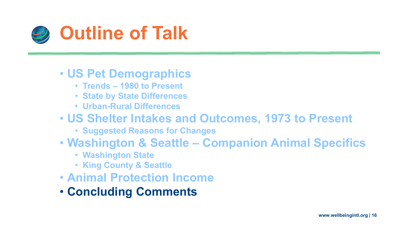

- **Trends – 1980 to Present**
- **State by State Differences**
- **Urban-Rural Differences**

- **Suggested Reasons for Changes**
- **Washington & Seattle – Companion Animal Specifics**
	- **Washington State**
	- **King County & Seattle**
- **Animal Protection Income**
- **Concluding Comments**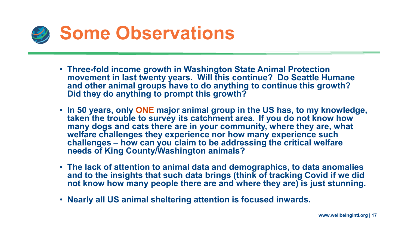

- **Three-fold income growth in Washington State Animal Protection movement in last twenty years. Will this continue? Do Seattle Humane and other animal groups have to do anything to continue this growth? Did they do anything to prompt this growth?**
- **In 50 years, only ONE major animal group in the US has, to my knowledge, taken the trouble to survey its catchment area. If you do not know how many dogs and cats there are in your community, where they are, what welfare challenges they experience nor how many experience such challenges – how can you claim to be addressing the critical welfare needs of King County/Washington animals?**
- **The lack of attention to animal data and demographics, to data anomalies and to the insights that such data brings (think of tracking Covid if we did not know how many people there are and where they are) is just stunning.**
- **Nearly all US animal sheltering attention is focused inwards.**